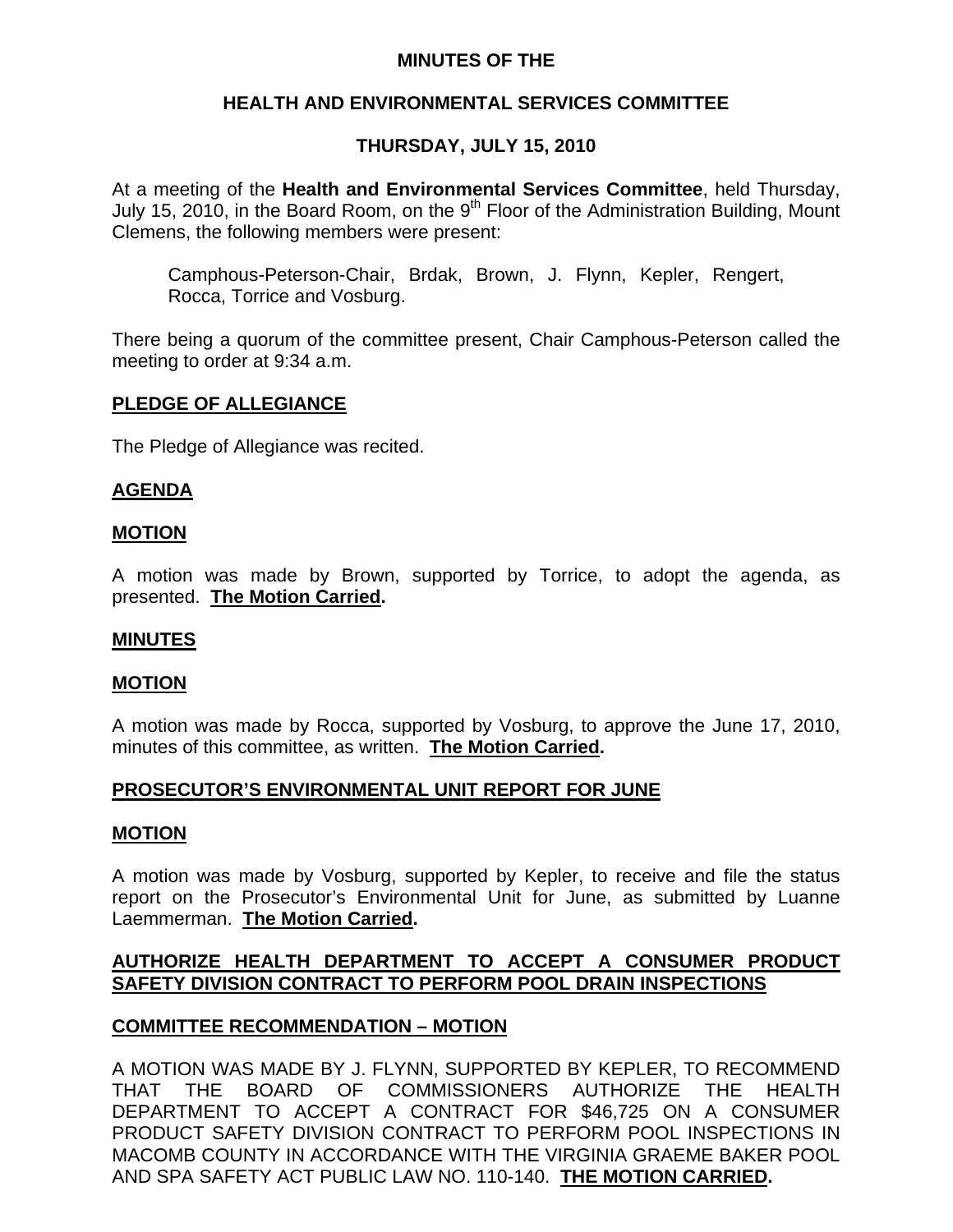## **MINUTES OF THE**

## **HEALTH AND ENVIRONMENTAL SERVICES COMMITTEE**

## **THURSDAY, JULY 15, 2010**

At a meeting of the **Health and Environmental Services Committee**, held Thursday, July 15, 2010, in the Board Room, on the  $9<sup>th</sup>$  Floor of the Administration Building, Mount Clemens, the following members were present:

Camphous-Peterson-Chair, Brdak, Brown, J. Flynn, Kepler, Rengert, Rocca, Torrice and Vosburg.

There being a quorum of the committee present, Chair Camphous-Peterson called the meeting to order at 9:34 a.m.

## **PLEDGE OF ALLEGIANCE**

The Pledge of Allegiance was recited.

## **AGENDA**

### **MOTION**

A motion was made by Brown, supported by Torrice, to adopt the agenda, as presented. **The Motion Carried.** 

### **MINUTES**

### **MOTION**

A motion was made by Rocca, supported by Vosburg, to approve the June 17, 2010, minutes of this committee, as written. **The Motion Carried.** 

### **PROSECUTOR'S ENVIRONMENTAL UNIT REPORT FOR JUNE**

### **MOTION**

A motion was made by Vosburg, supported by Kepler, to receive and file the status report on the Prosecutor's Environmental Unit for June, as submitted by Luanne Laemmerman. **The Motion Carried.** 

## **AUTHORIZE HEALTH DEPARTMENT TO ACCEPT A CONSUMER PRODUCT SAFETY DIVISION CONTRACT TO PERFORM POOL DRAIN INSPECTIONS**

## **COMMITTEE RECOMMENDATION – MOTION**

A MOTION WAS MADE BY J. FLYNN, SUPPORTED BY KEPLER, TO RECOMMEND THAT THE BOARD OF COMMISSIONERS AUTHORIZE THE HEALTH DEPARTMENT TO ACCEPT A CONTRACT FOR \$46,725 ON A CONSUMER PRODUCT SAFETY DIVISION CONTRACT TO PERFORM POOL INSPECTIONS IN MACOMB COUNTY IN ACCORDANCE WITH THE VIRGINIA GRAEME BAKER POOL AND SPA SAFETY ACT PUBLIC LAW NO. 110-140. **THE MOTION CARRIED.**